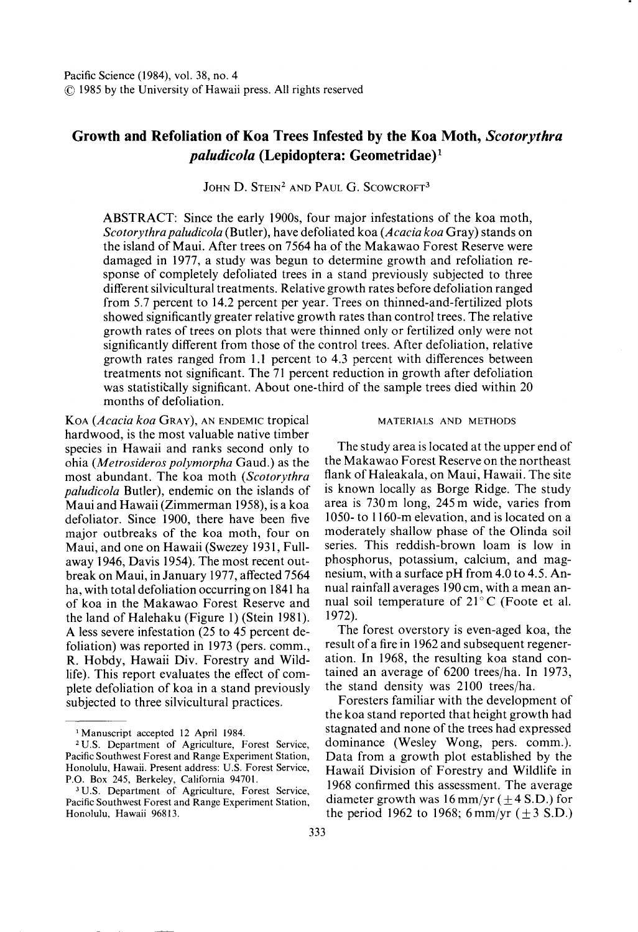# **Growth and Refoliation of Koa Trees Infested by the Koa Moth,** *Scotorythra paludicola* **(Lepidoptera: Geometridae)l**

JOHN D. STEIN<sup>2</sup> AND PAUL G. SCOWCROFT<sup>3</sup>

ABSTRACT: Since the early 1900s, four major infestations of the koa moth, *Scotorythra paludicola* (Butler), have defoliated koa *(Acacia koa* Gray) stands on the island of Maui. After trees on 7564 ha of the Makawao Forest Reserve were damaged in 1977, a study was begun to determine growth and refoliation response of completely defoliated trees in a stand previously subjected to three different silvicultural treatments. Relative growth rates before defoliation ranged from 5.7 percent to 14.2 percent per year. Trees on thinned-and-fertilized plots showed significantly greater relative growth rates than control trees. The relative growth rates of trees on plots that were thinned only or fertilized only were not significantly different from those of the control trees. After defoliation, relative growth rates ranged from 1.1 percent to 4.3 percent with differences between treatments not significant. The 71 percent reduction in growth after defoliation was statistically significant. About one-third of the sample trees died within 20 months of defoliation.

KOA *(Acacia koa* GRAY), AN ENDEMIC tropical hardwood, is the most valuable native timber species in Hawaii and ranks second only to ohia *(Metrosideros polymorpha* Gaud.) as the most abundant. The koa moth *(Scotorythra paludicola* Butler), endemic on the islands of Maui and Hawaii (Zimmerman 1958), is a koa defoliator. Since 1900, there have been five major outbreaks of the koa moth, four on Maui, and one on Hawaii (Swezey 1931, Fullaway 1946, Davis 1954). The most recent outbreak on Maui, in January 1977, affected 7564 ha, with total defoliation occurring on 1841 ha of koa in the Makawao Forest Reserve and the land of Halehaku (Figure 1) (Stein 1981). A less severe infestation (25 to 45 percent defoliation) was reported in 1973 (pers. comm., R. Hobdy, Hawaii Div. Forestry and Wildlife). This report evaluates the effect of complete defoliation of koa in a stand previously subjected to three silvicultural practices.

#### MATERIALS AND METHODS

The study area is located at the upper end of the Makawao Forest Reserve on the northeast flank of Haleakala, on Maui, Hawaii. The site is known locally as Borge Ridge. The study area is 730 m long, 245 m wide, varies from 1050- to 1160-m elevation, and is located on a moderately shallow phase of the Olinda soil series. This reddish-brown loam is low in phosphorus, potassium, calcium, and magnesium, with a surface pH from 4.0 to 4.5. Annual rainfall averages 190 em, with a mean annual soil temperature of  $21^{\circ}$ C (Foote et al. 1972).

The forest overstory is even-aged koa, the result of a fire in 1962 and subsequent regeneration. In 1968, the resulting koa stand contained an average of 6200 trees/ha. In 1973, the stand density was 2100 trees/ha.

Foresters familiar with the development of the koa stand reported that height growth had stagnated and none of the trees had expressed dominance (Wesley Wong, pers. comm.). Data from a growth plot established by the Hawaii Division of Forestry and Wildlife in 1968 confirmed this assessment. The average diameter growth was 16 mm/yr ( $\pm$ 4 S.D.) for the period 1962 to 1968; 6 mm/yr  $(\pm 3 \text{ S.D.})$ 

<sup>&</sup>lt;sup>1</sup>Manuscript accepted 12 April 1984.

<sup>2</sup> U.S. Department of Agriculture, Forest Service, Pacific Southwest Forest and Range Experiment Station, Honolulu, Hawaii. Present address: U.S. Forest Service, P.O. Box 245, Berkeley, California 94701.

<sup>&</sup>lt;sup>3</sup> U.S. Department of Agriculture, Forest Service, Pacific Southwest Forest and Range Experiment Station, Honolulu, Hawaii 96813.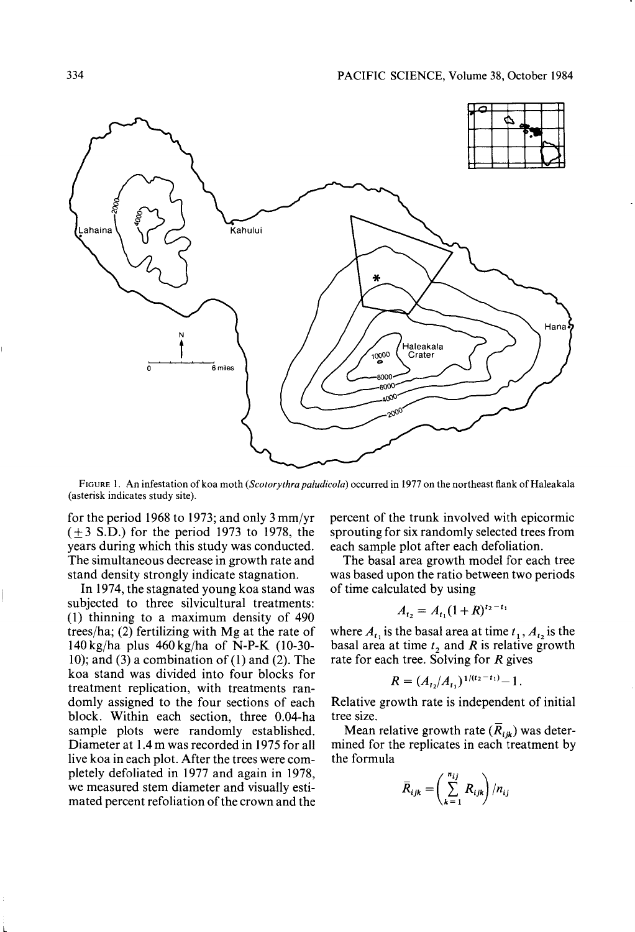

FIGURE I. An infestation of koa moth *(Scotorythra paludicola)* occurred in 1977 on the northeast flank of Haleakala (asterisk indicates study site).

for the period 1968 to 1973; and only  $3 \text{ mm/yr}$  $(\pm 3$  S.D.) for the period 1973 to 1978, the years during which this study was conducted. The simultaneous decrease in growth rate and stand density strongly indicate stagnation.

In 1974, the stagnated young koa stand was subjected to three silvicultural treatments: (1) thinning to a maximum density of 490 trees/ha; (2) fertilizing with  $Mg$  at the rate of 140 kgjha plus 460 kgjha of N-P-K (10-30- 10); and (3) a combination of  $(1)$  and  $(2)$ . The koa stand was divided into four blocks for treatment replication, with treatments randomly assigned to the four sections of each block. Within each section, three 0.04-ha sample plots were randomly established. Diameter at 1.4 m was recorded in 1975 for all live koa in each plot. After the trees were completely defoliated in 1977 and again in 1978, we measured stem diameter and visually estimated percent refoliation of the crown and the percent of the trunk involved with epicormic sprouting for six randomly selected trees from each sample plot after each defoliation.

The basal area growth model for each tree was based upon the ratio between two periods of time calculated by using

$$
A_{t_2} = A_{t_1} (1 + R)^{t_2 - t_1}
$$

where  $A_{t_1}$  is the basal area at time  $t_1$ ,  $A_{t_2}$  is the basal area at time  $t_2$  and *R* is relative growth rate for each tree. Solving for  $R$  gives

$$
R = (A_{t_2}/A_{t_1})^{1/(t_2 - t_1)} - 1.
$$

Relative growth rate is independent of initial tree size.

Mean relative growth rate  $(R_{ijk})$  was determined for the replicates in each treatment by the formula

$$
\bar{R}_{ijk} = \left(\sum_{k=1}^{n_{ij}} R_{ijk}\right) / n_{ij}
$$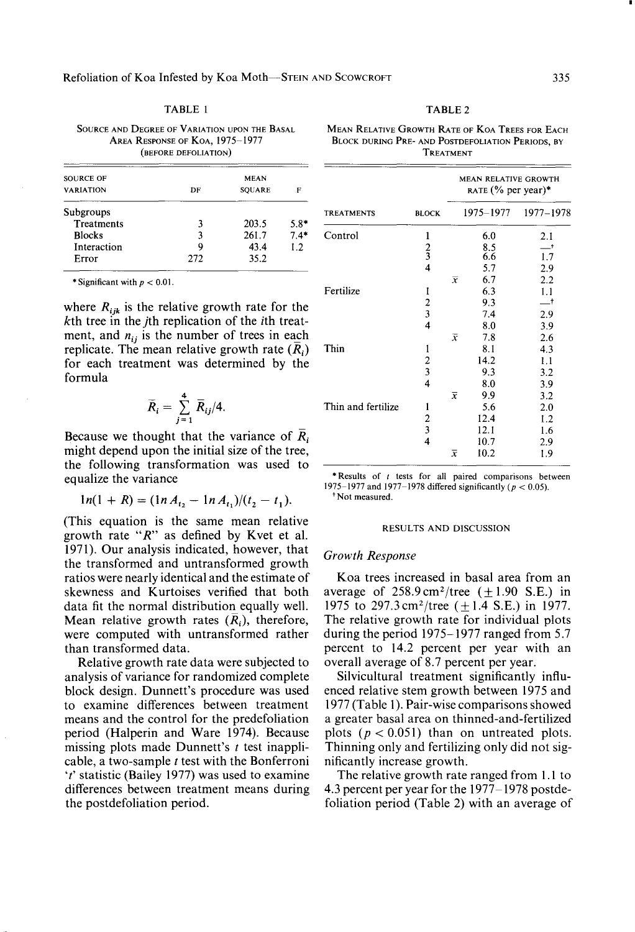| ш<br>ш |  |
|--------|--|
|--------|--|

SOURCE AND DEGREE OF VARIATION UPON THE BASAL AREA RESPONSE OF KOA, 1975-1977 (BEFORE DEFOLIATION)

| SOURCE OF<br><b>VARIATION</b> | <b>MEAN</b><br><b>SQUARE</b><br>DF<br>F |       |        |
|-------------------------------|-----------------------------------------|-------|--------|
| Subgroups                     |                                         |       |        |
| Treatments                    | ٦                                       | 203.5 | $5.8*$ |
| <b>Blocks</b>                 | ٩                                       | 261.7 | $7.4*$ |
| Interaction                   | Q                                       | 43.4  | 1.2    |
| Error                         | 272                                     | 35.2  |        |
|                               |                                         |       |        |

\* Significant with  $p < 0.01$ .

where  $R_{ijk}$  is the relative growth rate for the *kth* tree in the *jth* replication of the *ith* treatment, and  $n_{ij}$  is the number of trees in each replicate. The mean relative growth rate  $(\overline{R}_i)$ for each treatment was determined by the formula

$$
\overline{R}_i = \sum_{j=1}^4 \overline{R}_{ij}/4.
$$

Because we thought that the variance of *Ri*  might depend upon the initial size of the tree, the following transformation was used to equalize the variance

$$
ln(1 + R) = (ln A_{t_2} - ln A_{t_1})/(t_2 - t_1).
$$

(This equation is the same mean relative growth rate "R" as defined by Kvet et al. 1971). Our analysis indicated, however, that the transformed and untransformed growth ratios were nearly identical and the estimate of skewness and Kurtoises verified that both data fit the normal distribution equally well. Mean relative growth rates  $(R_i)$ , therefore, were computed with untransformed rather than transformed data.

Relative growth rate data were subjected to analysis of variance for randomized complete block design. Dunnett's procedure was used to examine differences between treatment means and the control for the predefoliation period (Halperin and Ware 1974). Because missing plots made Dunnett's  $t$  test inapplicable, a two-sample  $t$  test with the Bonferroni  $'t'$  statistic (Bailey 1977) was used to examine differences between treatment means during the postdefoliation period.

TABLE 2

MEAN RELATIVE GROWTH RATE OF KOA TREES FOR EACH BLOCK DURING PRE- AND POSTDEFOLIATION PERIODS, BY TREATMENT

| <b>TREATMENTS</b>  | <b>BLOCK</b>            | MEAN RELATIVE GROWTH<br>RATE (% per year)* |              |           |
|--------------------|-------------------------|--------------------------------------------|--------------|-----------|
|                    |                         |                                            | 1975-1977    | 1977-1978 |
| Control            | 1                       |                                            | 6.0          | 2.1       |
|                    |                         |                                            | $8.5$<br>6.6 | $-†$      |
|                    | $\frac{2}{3}$           |                                            |              | 1.7       |
|                    |                         |                                            | 5.7          | 2.9       |
|                    |                         | $\overline{x}$                             | 6.7          | 2.2       |
| Fertilize          | 1                       |                                            | 6.3          | 1.1       |
|                    |                         |                                            | 9.3          | ᅳ†        |
|                    | $\frac{2}{3}$           |                                            | 7.4          | 2.9       |
|                    | $\overline{4}$          |                                            | 8.0          | 3.9       |
|                    |                         | $\bar{x}$                                  | 7.8          | 2.6       |
| Thin               | 1                       |                                            | 8.1          | 4.3       |
|                    |                         |                                            | 14.2         | 1.1       |
|                    | $\frac{2}{3}$           |                                            | 9.3          | 3.2       |
|                    | $\overline{4}$          |                                            | 8.0          | 3.9       |
|                    |                         | $\bar{x}$                                  | 9.9          | 3.2       |
| Thin and fertilize | 1                       |                                            | 5.6          | 2.0       |
|                    |                         |                                            | 12.4         | 1.2       |
|                    | $\frac{2}{3}$           |                                            |              |           |
|                    |                         |                                            | 12.1         | 1.6       |
|                    | $\overline{\mathbf{4}}$ |                                            | 10.7         | 2.9       |
|                    |                         | $\overline{x}$                             | 10.2         | 1.9       |

 $*$  Results of  $t$  tests for all paired comparisons between 1975-1977 and 1977-1978 differed significantly *(p* < 0.05). 'Not measured.

#### RESULTS AND DISCUSSION

### *Growlh Response*

Koa trees increased in basal area from an average of  $258.9 \text{ cm}^2/\text{tree}$  ( $\pm 1.90 \text{ S.E.}$ ) in 1975 to 297.3 cm<sup>2</sup>/tree ( $\pm$ 1.4 S.E.) in 1977. The relative growth rate for individual plots during the period 1975-1977 ranged from 5.7 percent to 14.2 percent per year with an overall average of 8.7 percent per year.

Silvicultural treatment significantly influenced relative stem growth between 1975 and 1977 (Table I). Pair-wise comparisons showed a greater basal area on thinned-and-fertilized plots ( $p < 0.051$ ) than on untreated plots. Thinning only and fertilizing only did not significantly increase growth.

The relative growth rate ranged from 1.1 to 4.3 percent per year for the 1977-1978 postdefoliation period (Table 2) with an average of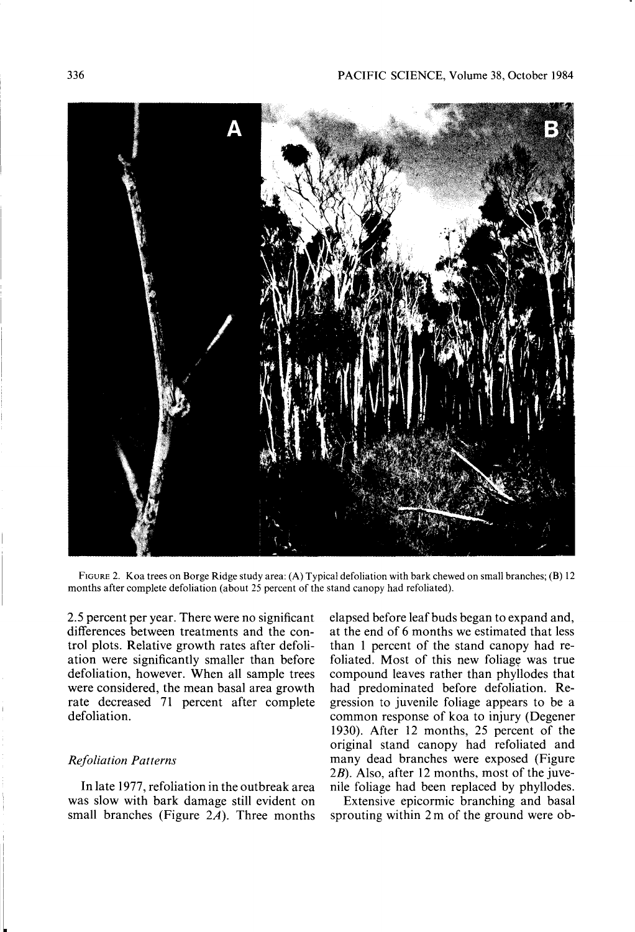

FIGURE 2. Koa trees on Borge Ridge study area: (A) Typical defoliation with bark chewed on small branches; (B) 12 months after complete defoliation (about 25 percent of the stand canopy had refoliated).

2.5 percent per year. There were no significant differences between treatments and the control plots. Relative growth rates after defoliation were significantly smaller than before defoliation, however. When all sample trees were considered, the mean basal area growth rate decreased 71 percent after complete defoliation.

# *Refoliation Patterns*

**In** late 1977, refoliation in the outbreak area was slow with bark damage still evident on small branches (Figure  $2A$ ). Three months elapsed before leaf buds began to expand and, at the end of 6 months we estimated that less than I percent of the stand canopy had refoliated. Most of this new foliage was true compound leaves rather than phyllodes that had predominated before defoliation. Regression to juvenile foliage appears to be a common response of koa to injury (Degener 1930). After 12 months, 25 percent of the original stand canopy had refoliated and many dead branches were exposed (Figure 2B). Also, after 12 months, most of the juvenile foliage had been replaced by phyllodes.

Extensive epicormic branching and basal sprouting within 2 m of the ground were ob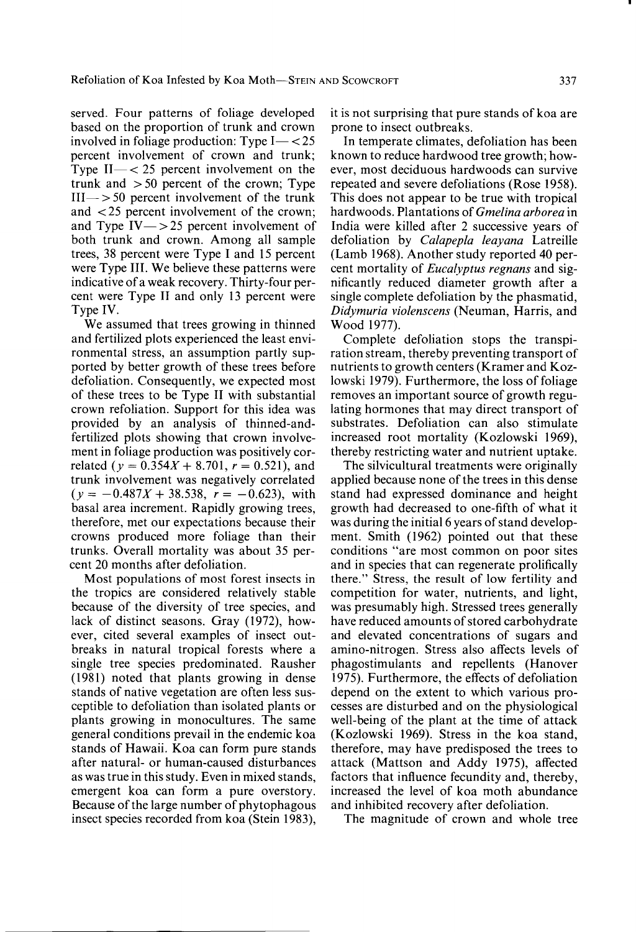served. Four patterns of foliage developed based on the proportion of trunk and crown involved in foliage production: Type  $I < 25$ percent involvement of crown and trunk; Type  $II - < 25$  percent involvement on the trunk and  $> 50$  percent of the crown; Type  $III \rightarrow 50$  percent involvement of the trunk and < 25 percent involvement of the crown; and Type  $IV \rightarrow 25$  percent involvement of both trunk and crown. Among all sample trees, 38 percent were Type I and 15 percent were Type III. We believe these patterns were indicative of a weak recovery. Thirty-four percent were Type II and only 13 percent were Type IV.

We assumed that trees growing in thinned and fertilized plots experienced the least environmental stress, an assumption partly supported by better growth of these trees before defoliation. Consequently, we expected most of these trees to be Type II with substantial crown refoliation. Support for this idea was provided by an analysis of thinned-andfertilized plots showing that crown involvement in foliage production was positively correlated ( $y = 0.354X + 8.701$ ,  $r = 0.521$ ), and trunk involvement was negatively correlated  $(y = -0.487X + 38.538, r = -0.623)$ , with basal area increment. Rapidly growing trees, therefore, met our expectations because their crowns produced more foliage than their trunks. Overall mortality was about 35 percent 20 months after defoliation.

Most populations of most forest insects in the tropics are considered relatively stable because of the diversity of tree species, and lack of distinct seasons. Gray (1972), however, cited several examples of insect outbreaks in natural tropical forests where a single tree species predominated. Rausher (1981) noted that plants growing in dense stands of native vegetation are often less susceptible to defoliation than isolated plants or plants growing in monocultures. The same general conditions prevail in the endemic koa stands of Hawaii. Koa can form pure stands after natural- or human-caused disturbances as was true in this study. Even in mixed stands, emergent koa can form a pure overstory. Because of the large number of phytophagous insect species recorded from koa (Stein 1983), it is not surprising that pure stands of koa are prone to insect outbreaks.

In temperate climates, defoliation has been known to reduce hardwood tree growth; however, most deciduous hardwoods can survive repeated and severe defoliations (Rose 1958). This does not appear to be true with tropical hardwoods. Plantations of *Gmelina arborea* in India were killed after 2 successive years of defoliation by *Ca/apep/a /eayana* Latreille (Lamb 1968). Another study reported 40 percent mortality of *Eucalyptus regnans* and significantly reduced diameter growth after a single complete defoliation by the phasmatid, *Didymuria violenscens* (Neuman, Harris, and Wood 1977).

Complete defoliation stops the transpiration stream, thereby preventing transport of nutrients to growth centers (Kramer and Kozlowski 1979). Furthermore, the loss of foliage removes an important source of growth regulating hormones that may direct transport of substrates. Defoliation can also stimulate increased root mortality (Kozlowski 1969), thereby restricting water and nutrient uptake.

The silvicultural treatments were originally applied because none of the trees in this dense stand had expressed dominance and height growth had decreased to one-fifth of what it was during the initial 6 years of stand development. Smith (1962) pointed out that these conditions "are most common on poor sites and in species that can regenerate prolifically there." Stress, the result of low fertility and competition for water, nutrients, and light, was presumably high. Stressed trees generally have reduced amounts of stored carbohydrate and elevated concentrations of sugars and amino-nitrogen. Stress also affects levels of phagostimulants and repellents (Hanover 1975). Furthermore, the effects of defoliation depend on the extent to which various processes are disturbed and on the physiological well-being of the plant at the time of attack (Kozlowski 1969). Stress in the koa stand, therefore, may have predisposed the trees to attack (Mattson and Addy 1975), affected factors that influence fecundity and, thereby, increased the level of koa moth abundance and inhibited recovery after defoliation.

The magnitude of crown and whole tree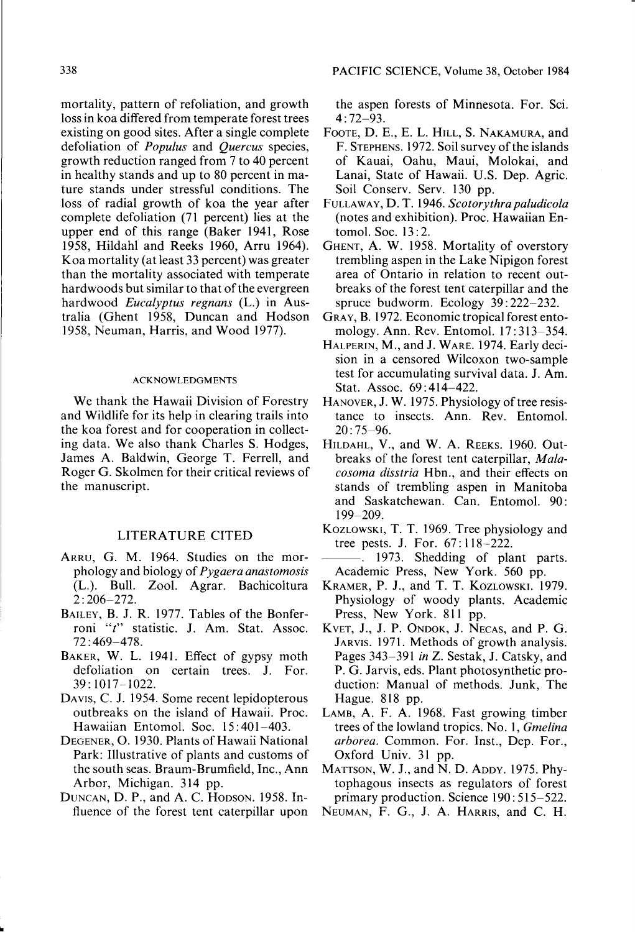mortality, pattern of refoliation, and growth loss in koa differed from temperate forest trees existing on good sites. After a single complete defoliation of *Populus* and *Quercus* species, growth reduction ranged from 7 to 40 percent in healthy stands and up to 80 percent in mature stands under stressful conditions. The loss of radial growth of koa the year after complete defoliation (71 percent) lies at the upper end of this range (Baker 1941, Rose 1958, Hildahl and Reeks 1960, Arru 1964). Koa mortality (at least 33 percent) was greater than the mortality associated with temperate hardwoods but similar to that of the evergreen hardwood *Eucalyptus regnans* (L.) in Australia (Ghent 1958, Duncan and Hodson 1958, Neuman, Harris, and Wood 1977).

## **ACKNOWLEDGMENTS**

We thank the Hawaii Division of Forestry and Wildlife for its help in clearing trails into the koa forest and for cooperation in collecting data. We also thank Charles S. Hodges, James A. Baldwin, George T. Ferrell, and Roger G. Skolmen for their critical reviews of the manuscript.

# LITERATURE CITED

- ARRU, G. M. 1964. Studies on the morphology and biology of *Pygaera anastomosis*  (L.). Bull. Zool. Agrar. Bachicoltura 2: 206-272.
- BAILEY, B. J. R. 1977. Tables of the Bonferroni *"t"* statistic. J. Am. Stat. Assoc. 72 : 469-478.
- BAKER, W. L. 1941. Effect of gypsy moth defoliation on certain trees. J. For. 39: 1017-1022.
- DAVIS, C. J. 1954. Some recent lepidopterous outbreaks on the island of Hawaii. Proc. Hawaiian Entomol. Soc. 15: 401-403.
- DEGENER, 0.1930. Plants of Hawaii National Park: Illustrative of plants and customs of the south seas. Braum-Brumfield, Inc., Ann Arbor, Michigan. 314 pp.
- DUNCAN, D. P., and A. C. HODSON. 1958. Influence of the forest tent caterpillar upon

PACIFIC SCIENCE, Volume 38, October 1984

the aspen forests of Minnesota. For. Sci. 4: 72-93.

- FOOTE, D. E., E. L. HILL, S. NAKAMURA, and F. STEPHENS. 1972. Soil survey of the islands of Kauai, Oahu, Maui, Molokai, and Lanai, State of Hawaii. U.S. Dep. Agric. Soil Conserv. Serv. 130 pp.
- FULLAWAY, D. T. 1946. *Scotorythrapaludicola*  (notes and exhibition). Proc. Hawaiian Entomol. Soc. 13:2.
- GHENT, A. W. 1958. Mortality of overstory trembling aspen in the Lake Nipigon forest area of Ontario in relation to recent outbreaks of the forest tent caterpillar and the spruce budworm. Ecology 39: 222-232.
- GRAY, B. 1972. Economic tropical forest entomology. Ann. Rev. Entomol. 17: 313-354.
- HALPERIN, M., and J. WARE. 1974. Early decision in a censored Wilcoxon two-sample test for accumulating survival data. J. Am. Stat. Assoc. 69: 414-422.
- HANOVER, J. W. 1975. Physiology of tree resistance to insects. Ann. Rev. Entomol. 20: 75-96.
- HILDAHL, V., and W. A. REEKS. 1960. Outbreaks of the forest tent caterpillar, *Malacosoma disstria* Hbn., and their effects on stands of trembling aspen in Manitoba and Saskatchewan. Can. Entomol. 90: 199-209.
- KOZLOWSKI, T. T. 1969. Tree physiology and tree pests. J. For. 67:118-222.
- --. 1973. Shedding of plant parts. Academic Press, New York. 560 pp.
- KRAMER, P. J., and T. T. KOZLOWSKI. 1979. Physiology of woody plants. Academic Press, New York. 811 pp.
- KVET, J., J. P. ONDOK, J. NECAS, and P. G. JARVIS. 1971. Methods of growth analysis. Pages 343-391 *in* Z. Sestak, J. Catsky, and P. G. Jarvis, eds. Plant photosynthetic production: Manual of methods. Junk, The Hague. 818 pp.
- LAMB, A. F. A. 1968. Fast growing timber trees of the lowland tropics. No.1, *Gmelina arborea.* Common. For. Inst., Dep. For., Oxford Univ. 31 pp.
- MATTSON, W. J., and N. D. ADDY. 1975. Phytophagous insects as regulators of forest primary production. Science 190: 515-522.
- NEUMAN, F. G., J. A. HARRIS, and C. H.